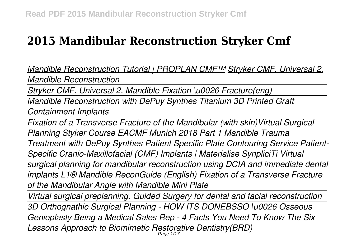# **2015 Mandibular Reconstruction Stryker Cmf**

*Mandible Reconstruction Tutorial | PROPLAN CMF™ Stryker CMF. Universal 2. Mandible Reconstruction*

*Stryker CMF. Universal 2. Mandible Fixation \u0026 Fracture(eng)*

*Mandible Reconstruction with DePuy Synthes Titanium 3D Printed Graft Containment Implants*

*Fixation of a Transverse Fracture of the Mandibular (with skin)Virtual Surgical Planning Styker Course EACMF Munich 2018 Part 1 Mandible Trauma Treatment with DePuy Synthes Patient Specific Plate Contouring Service Patient-Specific Cranio-Maxillofacial (CMF) Implants | Materialise SynpliciTi Virtual surgical planning for mandibular reconstruction using DCIA and immediate dental implants L1® Mandible ReconGuide (English) Fixation of a Transverse Fracture of the Mandibular Angle with Mandible Mini Plate* 

*Virtual surgical preplanning. Guided Surgery for dental and facial reconstruction 3D Orthognathic Surgical Planning - HOW ITS DONEBSSO \u0026 Osseous Genioplasty Being a Medical Sales Rep - 4 Facts You Need To Know The Six Lessons Approach to Biomimetic Restorative Dentistry(BRD)*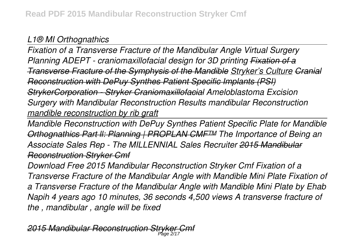# *L1® MI Orthognathics*

*Fixation of a Transverse Fracture of the Mandibular Angle Virtual Surgery Planning ADEPT - craniomaxillofacial design for 3D printing Fixation of a Transverse Fracture of the Symphysis of the Mandible Stryker's Culture Cranial Reconstruction with DePuy Synthes Patient Specific Implants (PSI) StrykerCorporation - Stryker Craniomaxillofacial Ameloblastoma Excision Surgery with Mandibular Reconstruction Results mandibular Reconstruction mandible reconstruction by rib graft*

*Mandible Reconstruction with DePuy Synthes Patient Specific Plate for Mandible Orthognathics Part ll: Planning | PROPLAN CMF™ The Importance of Being an Associate Sales Rep - The MILLENNIAL Sales Recruiter 2015 Mandibular Reconstruction Stryker Cmf*

*Download Free 2015 Mandibular Reconstruction Stryker Cmf Fixation of a Transverse Fracture of the Mandibular Angle with Mandible Mini Plate Fixation of a Transverse Fracture of the Mandibular Angle with Mandible Mini Plate by Ehab Napih 4 years ago 10 minutes, 36 seconds 4,500 views A transverse fracture of the , mandibular , angle will be fixed*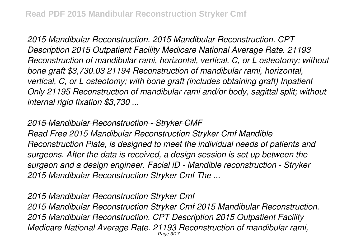*2015 Mandibular Reconstruction. 2015 Mandibular Reconstruction. CPT Description 2015 Outpatient Facility Medicare National Average Rate. 21193 Reconstruction of mandibular rami, horizontal, vertical, C, or L osteotomy; without bone graft \$3,730.03 21194 Reconstruction of mandibular rami, horizontal, vertical, C, or L osteotomy; with bone graft (includes obtaining graft) Inpatient Only 21195 Reconstruction of mandibular rami and/or body, sagittal split; without internal rigid fixation \$3,730 ...*

## *2015 Mandibular Reconstruction - Stryker CMF*

*Read Free 2015 Mandibular Reconstruction Stryker Cmf Mandible Reconstruction Plate, is designed to meet the individual needs of patients and surgeons. After the data is received, a design session is set up between the surgeon and a design engineer. Facial iD - Mandible reconstruction - Stryker 2015 Mandibular Reconstruction Stryker Cmf The ...*

#### *2015 Mandibular Reconstruction Stryker Cmf*

*2015 Mandibular Reconstruction Stryker Cmf 2015 Mandibular Reconstruction. 2015 Mandibular Reconstruction. CPT Description 2015 Outpatient Facility Medicare National Average Rate. 21193 Reconstruction of mandibular rami,* Page 3/17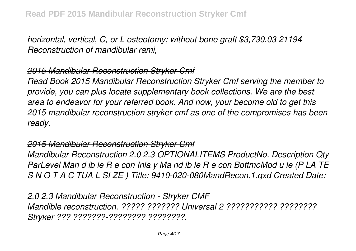*horizontal, vertical, C, or L osteotomy; without bone graft \$3,730.03 21194 Reconstruction of mandibular rami,*

## *2015 Mandibular Reconstruction Stryker Cmf*

*Read Book 2015 Mandibular Reconstruction Stryker Cmf serving the member to provide, you can plus locate supplementary book collections. We are the best area to endeavor for your referred book. And now, your become old to get this 2015 mandibular reconstruction stryker cmf as one of the compromises has been ready.*

#### *2015 Mandibular Reconstruction Stryker Cmf*

*Mandibular Reconstruction 2.0 2.3 OPTIONALITEMS ProductNo. Description Qty ParLevel Man d ib le R e con Inla y Ma nd ib le R e con BottmoMod u le (P LA TE S N O T A C TUA L SI ZE ) Title: 9410-020-080MandRecon.1.qxd Created Date:*

*2.0 2.3 Mandibular Reconstruction - Stryker CMF Mandible reconstruction. ????? ??????? Universal 2 ??????????? ???????? Stryker ??? ???????-???????? ????????.*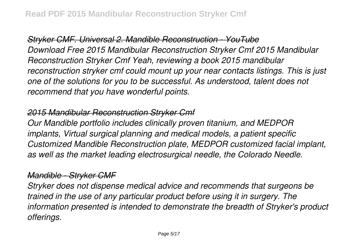*Stryker CMF. Universal 2. Mandible Reconstruction - YouTube Download Free 2015 Mandibular Reconstruction Stryker Cmf 2015 Mandibular Reconstruction Stryker Cmf Yeah, reviewing a book 2015 mandibular reconstruction stryker cmf could mount up your near contacts listings. This is just one of the solutions for you to be successful. As understood, talent does not recommend that you have wonderful points.*

# *2015 Mandibular Reconstruction Stryker Cmf*

*Our Mandible portfolio includes clinically proven titanium, and MEDPOR implants, Virtual surgical planning and medical models, a patient specific Customized Mandible Reconstruction plate, MEDPOR customized facial implant, as well as the market leading electrosurgical needle, the Colorado Needle.*

# *Mandible - Stryker CMF*

*Stryker does not dispense medical advice and recommends that surgeons be trained in the use of any particular product before using it in surgery. The information presented is intended to demonstrate the breadth of Stryker's product offerings.*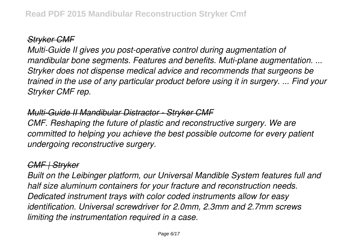# *Stryker CMF*

*Multi-Guide II gives you post-operative control during augmentation of mandibular bone segments. Features and benefits. Muti-plane augmentation. ... Stryker does not dispense medical advice and recommends that surgeons be trained in the use of any particular product before using it in surgery. ... Find your Stryker CMF rep.*

# *Multi-Guide II Mandibular Distractor - Stryker CMF*

*CMF. Reshaping the future of plastic and reconstructive surgery. We are committed to helping you achieve the best possible outcome for every patient undergoing reconstructive surgery.*

## *CMF | Stryker*

*Built on the Leibinger platform, our Universal Mandible System features full and half size aluminum containers for your fracture and reconstruction needs. Dedicated instrument trays with color coded instruments allow for easy identification. Universal screwdriver for 2.0mm, 2.3mm and 2.7mm screws limiting the instrumentation required in a case.*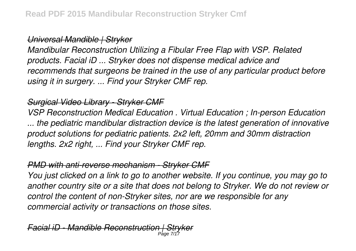*Universal Mandible | Stryker*

*Mandibular Reconstruction Utilizing a Fibular Free Flap with VSP. Related products. Facial iD ... Stryker does not dispense medical advice and recommends that surgeons be trained in the use of any particular product before using it in surgery. ... Find your Stryker CMF rep.*

## *Surgical Video Library - Stryker CMF*

*VSP Reconstruction Medical Education . Virtual Education ; In-person Education ... the pediatric mandibular distraction device is the latest generation of innovative product solutions for pediatric patients. 2x2 left, 20mm and 30mm distraction lengths. 2x2 right, ... Find your Stryker CMF rep.*

## *PMD with anti-reverse mechanism - Stryker CMF*

*You just clicked on a link to go to another website. If you continue, you may go to another country site or a site that does not belong to Stryker. We do not review or control the content of non-Stryker sites, nor are we responsible for any commercial activity or transactions on those sites.*

*Facial iD - Mandible Reconstruction | Stryker* Page 7/17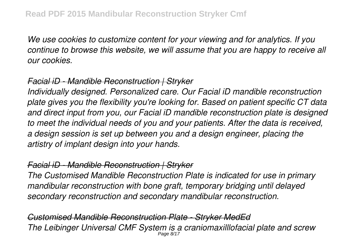*We use cookies to customize content for your viewing and for analytics. If you continue to browse this website, we will assume that you are happy to receive all our cookies.*

#### *Facial iD - Mandible Reconstruction | Stryker*

*Individually designed. Personalized care. Our Facial iD mandible reconstruction plate gives you the flexibility you're looking for. Based on patient specific CT data and direct input from you, our Facial iD mandible reconstruction plate is designed to meet the individual needs of you and your patients. After the data is received, a design session is set up between you and a design engineer, placing the artistry of implant design into your hands.*

#### *Facial iD - Mandible Reconstruction | Stryker*

*The Customised Mandible Reconstruction Plate is indicated for use in primary mandibular reconstruction with bone graft, temporary bridging until delayed secondary reconstruction and secondary mandibular reconstruction.*

*Customised Mandible Reconstruction Plate - Stryker MedEd The Leibinger Universal CMF System is a craniomaxilllofacial plate and screw* Page 8/17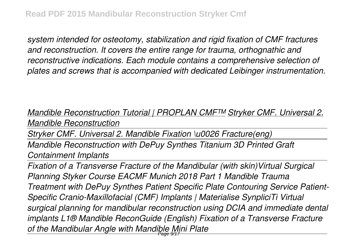*system intended for osteotomy, stabilization and rigid fixation of CMF fractures and reconstruction. It covers the entire range for trauma, orthognathic and reconstructive indications. Each module contains a comprehensive selection of plates and screws that is accompanied with dedicated Leibinger instrumentation.*

*Mandible Reconstruction Tutorial | PROPLAN CMF™ Stryker CMF. Universal 2. Mandible Reconstruction*

*Stryker CMF. Universal 2. Mandible Fixation \u0026 Fracture(eng)*

*Mandible Reconstruction with DePuy Synthes Titanium 3D Printed Graft Containment Implants*

*Fixation of a Transverse Fracture of the Mandibular (with skin)Virtual Surgical Planning Styker Course EACMF Munich 2018 Part 1 Mandible Trauma Treatment with DePuy Synthes Patient Specific Plate Contouring Service Patient-Specific Cranio-Maxillofacial (CMF) Implants | Materialise SynpliciTi Virtual surgical planning for mandibular reconstruction using DCIA and immediate dental implants L1® Mandible ReconGuide (English) Fixation of a Transverse Fracture of the Mandibular Angle with Mandible Mini Plate*  Page 9/17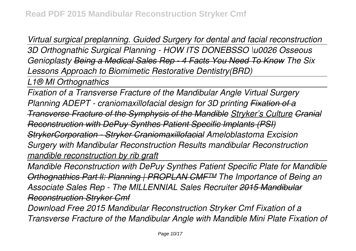*Virtual surgical preplanning. Guided Surgery for dental and facial reconstruction 3D Orthognathic Surgical Planning - HOW ITS DONEBSSO \u0026 Osseous Genioplasty Being a Medical Sales Rep - 4 Facts You Need To Know The Six Lessons Approach to Biomimetic Restorative Dentistry(BRD)*

*L1® MI Orthognathics*

*Fixation of a Transverse Fracture of the Mandibular Angle Virtual Surgery Planning ADEPT - craniomaxillofacial design for 3D printing Fixation of a Transverse Fracture of the Symphysis of the Mandible Stryker's Culture Cranial Reconstruction with DePuy Synthes Patient Specific Implants (PSI) StrykerCorporation - Stryker Craniomaxillofacial Ameloblastoma Excision Surgery with Mandibular Reconstruction Results mandibular Reconstruction mandible reconstruction by rib graft*

*Mandible Reconstruction with DePuy Synthes Patient Specific Plate for Mandible Orthognathics Part ll: Planning | PROPLAN CMF™ The Importance of Being an Associate Sales Rep - The MILLENNIAL Sales Recruiter 2015 Mandibular Reconstruction Stryker Cmf*

*Download Free 2015 Mandibular Reconstruction Stryker Cmf Fixation of a Transverse Fracture of the Mandibular Angle with Mandible Mini Plate Fixation of*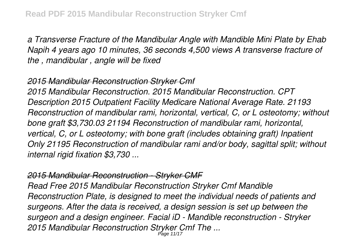*a Transverse Fracture of the Mandibular Angle with Mandible Mini Plate by Ehab Napih 4 years ago 10 minutes, 36 seconds 4,500 views A transverse fracture of the , mandibular , angle will be fixed*

#### *2015 Mandibular Reconstruction Stryker Cmf*

*2015 Mandibular Reconstruction. 2015 Mandibular Reconstruction. CPT Description 2015 Outpatient Facility Medicare National Average Rate. 21193 Reconstruction of mandibular rami, horizontal, vertical, C, or L osteotomy; without bone graft \$3,730.03 21194 Reconstruction of mandibular rami, horizontal, vertical, C, or L osteotomy; with bone graft (includes obtaining graft) Inpatient Only 21195 Reconstruction of mandibular rami and/or body, sagittal split; without internal rigid fixation \$3,730 ...*

#### *2015 Mandibular Reconstruction - Stryker CMF*

*Read Free 2015 Mandibular Reconstruction Stryker Cmf Mandible Reconstruction Plate, is designed to meet the individual needs of patients and surgeons. After the data is received, a design session is set up between the surgeon and a design engineer. Facial iD - Mandible reconstruction - Stryker 2015 Mandibular Reconstruction Stryker Cmf The ...* Page 11/17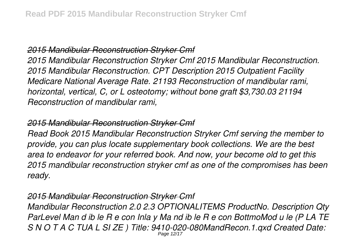#### *2015 Mandibular Reconstruction Stryker Cmf*

*2015 Mandibular Reconstruction Stryker Cmf 2015 Mandibular Reconstruction. 2015 Mandibular Reconstruction. CPT Description 2015 Outpatient Facility Medicare National Average Rate. 21193 Reconstruction of mandibular rami, horizontal, vertical, C, or L osteotomy; without bone graft \$3,730.03 21194 Reconstruction of mandibular rami,*

#### *2015 Mandibular Reconstruction Stryker Cmf*

*Read Book 2015 Mandibular Reconstruction Stryker Cmf serving the member to provide, you can plus locate supplementary book collections. We are the best area to endeavor for your referred book. And now, your become old to get this 2015 mandibular reconstruction stryker cmf as one of the compromises has been ready.*

#### *2015 Mandibular Reconstruction Stryker Cmf*

*Mandibular Reconstruction 2.0 2.3 OPTIONALITEMS ProductNo. Description Qty ParLevel Man d ib le R e con Inla y Ma nd ib le R e con BottmoMod u le (P LA TE S N O T A C TUA L SI ZE ) Title: 9410-020-080MandRecon.1.qxd Created Date:* Page 12/17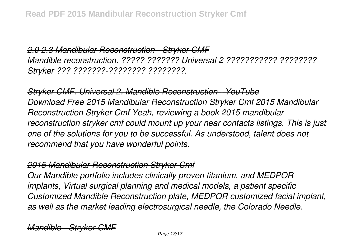*2.0 2.3 Mandibular Reconstruction - Stryker CMF Mandible reconstruction. ????? ??????? Universal 2 ??????????? ???????? Stryker ??? ???????-???????? ????????.*

*Stryker CMF. Universal 2. Mandible Reconstruction - YouTube Download Free 2015 Mandibular Reconstruction Stryker Cmf 2015 Mandibular Reconstruction Stryker Cmf Yeah, reviewing a book 2015 mandibular reconstruction stryker cmf could mount up your near contacts listings. This is just one of the solutions for you to be successful. As understood, talent does not recommend that you have wonderful points.*

#### *2015 Mandibular Reconstruction Stryker Cmf*

*Our Mandible portfolio includes clinically proven titanium, and MEDPOR implants, Virtual surgical planning and medical models, a patient specific Customized Mandible Reconstruction plate, MEDPOR customized facial implant, as well as the market leading electrosurgical needle, the Colorado Needle.*

*Mandible - Strv*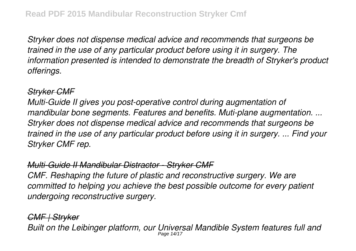*Stryker does not dispense medical advice and recommends that surgeons be trained in the use of any particular product before using it in surgery. The information presented is intended to demonstrate the breadth of Stryker's product offerings.*

### *Stryker CMF*

*Multi-Guide II gives you post-operative control during augmentation of mandibular bone segments. Features and benefits. Muti-plane augmentation. ... Stryker does not dispense medical advice and recommends that surgeons be trained in the use of any particular product before using it in surgery. ... Find your Stryker CMF rep.*

## *Multi-Guide II Mandibular Distractor - Stryker CMF*

*CMF. Reshaping the future of plastic and reconstructive surgery. We are committed to helping you achieve the best possible outcome for every patient undergoing reconstructive surgery.*

# *CMF | Stryker*

*Built on the Leibinger platform, our Universal Mandible System features full and* Page 14/17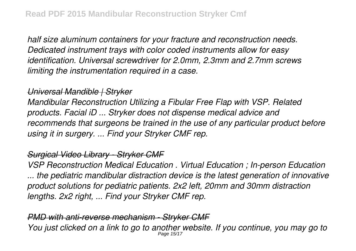*half size aluminum containers for your fracture and reconstruction needs. Dedicated instrument trays with color coded instruments allow for easy identification. Universal screwdriver for 2.0mm, 2.3mm and 2.7mm screws limiting the instrumentation required in a case.*

#### *Universal Mandible | Stryker*

*Mandibular Reconstruction Utilizing a Fibular Free Flap with VSP. Related products. Facial iD ... Stryker does not dispense medical advice and recommends that surgeons be trained in the use of any particular product before using it in surgery. ... Find your Stryker CMF rep.*

# *Surgical Video Library - Stryker CMF*

*VSP Reconstruction Medical Education . Virtual Education ; In-person Education ... the pediatric mandibular distraction device is the latest generation of innovative product solutions for pediatric patients. 2x2 left, 20mm and 30mm distraction lengths. 2x2 right, ... Find your Stryker CMF rep.*

*PMD with anti-reverse mechanism - Stryker CMF You just clicked on a link to go to another website. If you continue, you may go to* Page 15/17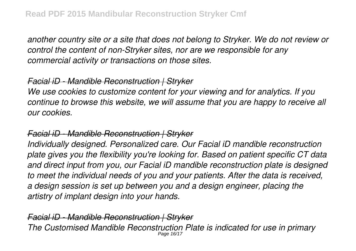*another country site or a site that does not belong to Stryker. We do not review or control the content of non-Stryker sites, nor are we responsible for any commercial activity or transactions on those sites.*

#### *Facial iD - Mandible Reconstruction | Stryker*

*We use cookies to customize content for your viewing and for analytics. If you continue to browse this website, we will assume that you are happy to receive all our cookies.*

#### *Facial iD - Mandible Reconstruction | Stryker*

*Individually designed. Personalized care. Our Facial iD mandible reconstruction plate gives you the flexibility you're looking for. Based on patient specific CT data and direct input from you, our Facial iD mandible reconstruction plate is designed to meet the individual needs of you and your patients. After the data is received, a design session is set up between you and a design engineer, placing the artistry of implant design into your hands.*

*Facial iD - Mandible Reconstruction | Stryker The Customised Mandible Reconstruction Plate is indicated for use in primary* Page 16/17